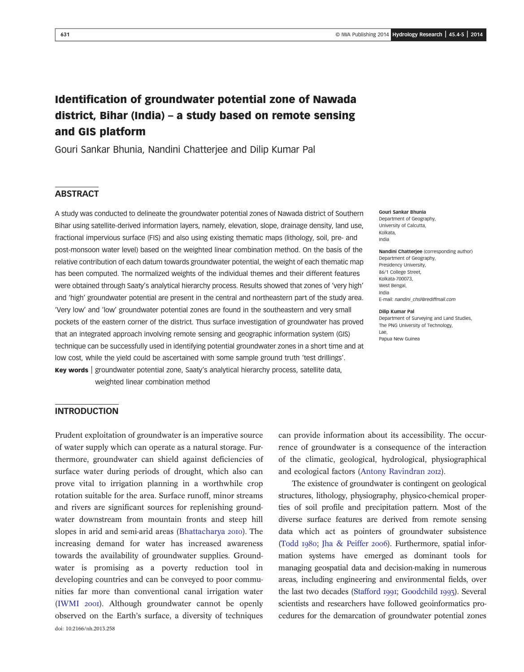# Identification of groundwater potential zone of Nawada district, Bihar (India) – a study based on remote sensing and GIS platform

Gouri Sankar Bhunia, Nandini Chatterjee and Dilip Kumar Pal

# **ABSTRACT**

A study was conducted to delineate the groundwater potential zones of Nawada district of Southern Bihar using satellite-derived information layers, namely, elevation, slope, drainage density, land use, fractional impervious surface (FIS) and also using existing thematic maps (lithology, soil, pre- and post-monsoon water level) based on the weighted linear combination method. On the basis of the relative contribution of each datum towards groundwater potential, the weight of each thematic map has been computed. The normalized weights of the individual themes and their different features were obtained through Saaty's analytical hierarchy process. Results showed that zones of 'very high' and 'high' groundwater potential are present in the central and northeastern part of the study area. 'Very low' and 'low' groundwater potential zones are found in the southeastern and very small pockets of the eastern corner of the district. Thus surface investigation of groundwater has proved that an integrated approach involving remote sensing and geographic information system (GIS) technique can be successfully used in identifying potential groundwater zones in a short time and at low cost, while the yield could be ascertained with some sample ground truth 'test drillings'. Key words | groundwater potential zone, Saaty's analytical hierarchy process, satellite data, weighted linear combination method

#### Gouri Sankar Bhunia Department of Geography, University of Calcutta, Kolkata,

India

Nandini Chatterjee (corresponding author) Department of Geography, Presidency University, 86/1 College Street, Kolkata-700073, West Bengal, India E-mail: nandini\_chsl@rediffmail.com

#### Dilip Kumar Pal

Department of Surveying and Land Studies, The PNG University of Technology, Lae, Papua New Guinea

### INTRODUCTION

Prudent exploitation of groundwater is an imperative source of water supply which can operate as a natural storage. Furthermore, groundwater can shield against deficiencies of surface water during periods of drought, which also can prove vital to irrigation planning in a worthwhile crop rotation suitable for the area. Surface runoff, minor streams and rivers are significant sources for replenishing groundwater downstream from mountain fronts and steep hill slopes in arid and semi-arid areas (Bhattacharya 2010). The increasing demand for water has increased awareness towards the availability of groundwater supplies. Groundwater is promising as a poverty reduction tool in developing countries and can be conveyed to poor communities far more than conventional canal irrigation water (IWMI 2001). Although groundwater cannot be openly observed on the Earth's surface, a diversity of techniques doi: 10.2166/nh.2013.258

can provide information about its accessibility. The occurrence of groundwater is a consequence of the interaction of the climatic, geological, hydrological, physiographical and ecological factors (Antony Ravindran 2012).

The existence of groundwater is contingent on geological structures, lithology, physiography, physico-chemical properties of soil profile and precipitation pattern. Most of the diverse surface features are derived from remote sensing data which act as pointers of groundwater subsistence (Todd 1980; Jha & Peiffer 2006). Furthermore, spatial information systems have emerged as dominant tools for managing geospatial data and decision-making in numerous areas, including engineering and environmental fields, over the last two decades (Stafford 1991; Goodchild 1993). Several scientists and researchers have followed geoinformatics procedures for the demarcation of groundwater potential zones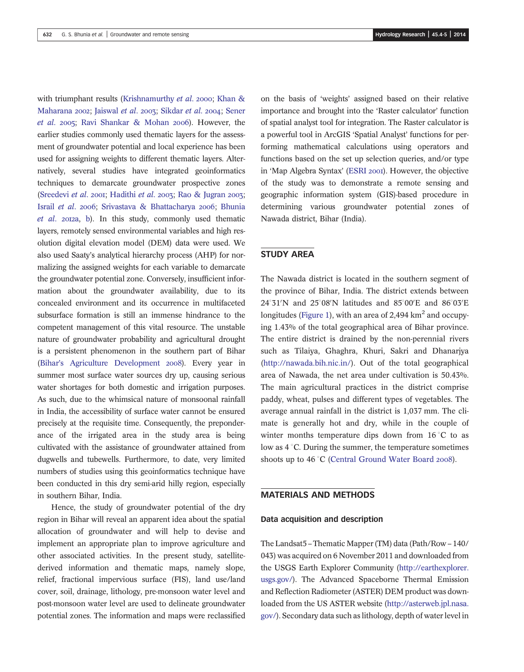with triumphant results (Krishnamurthy *et al.* 2000; Khan & Maharana 2002; Jaiswal et al. 2003; Sikdar et al. 2004; Sener *et al.* 2005; Ravi Shankar & Mohan 2006). However, the earlier studies commonly used thematic layers for the assessment of groundwater potential and local experience has been used for assigning weights to different thematic layers. Alternatively, several studies have integrated geoinformatics techniques to demarcate groundwater prospective zones (Sreedevi *et al.* 2001; Hadithi *et al.* 2003; Rao & Jugran 2003; Israil et al. 2006; Srivastava & Bhattacharya 2006; Bhunia et al. 2012a, b). In this study, commonly used thematic layers, remotely sensed environmental variables and high resolution digital elevation model (DEM) data were used. We also used Saaty's analytical hierarchy process (AHP) for normalizing the assigned weights for each variable to demarcate the groundwater potential zone. Conversely, insufficient information about the groundwater availability, due to its concealed environment and its occurrence in multifaceted subsurface formation is still an immense hindrance to the competent management of this vital resource. The unstable nature of groundwater probability and agricultural drought is a persistent phenomenon in the southern part of Bihar (Bihar's Agriculture Development 2008). Every year in summer most surface water sources dry up, causing serious water shortages for both domestic and irrigation purposes. As such, due to the whimsical nature of monsoonal rainfall in India, the accessibility of surface water cannot be ensured precisely at the requisite time. Consequently, the preponderance of the irrigated area in the study area is being cultivated with the assistance of groundwater attained from dugwells and tubewells. Furthermore, to date, very limited numbers of studies using this geoinformatics technique have been conducted in this dry semi-arid hilly region, especially in southern Bihar, India.

Hence, the study of groundwater potential of the dry region in Bihar will reveal an apparent idea about the spatial allocation of groundwater and will help to devise and implement an appropriate plan to improve agriculture and other associated activities. In the present study, satellitederived information and thematic maps, namely slope, relief, fractional impervious surface (FIS), land use/land cover, soil, drainage, lithology, pre-monsoon water level and post-monsoon water level are used to delineate groundwater potential zones. The information and maps were reclassified on the basis of 'weights' assigned based on their relative importance and brought into the 'Raster calculator' function of spatial analyst tool for integration. The Raster calculator is a powerful tool in ArcGIS 'Spatial Analyst' functions for performing mathematical calculations using operators and functions based on the set up selection queries, and/or type in 'Map Algebra Syntax' (ESRI 2001). However, the objective of the study was to demonstrate a remote sensing and geographic information system (GIS)-based procedure in determining various groundwater potential zones of Nawada district, Bihar (India).

# STUDY AREA

The Nawada district is located in the southern segment of the province of Bihar, India. The district extends between 24°31'N and 25°08'N latitudes and 85°00'E and 86°03'E longitudes (Figure 1), with an area of 2,494  $km^2$  and occupying 1.43% of the total geographical area of Bihar province. The entire district is drained by the non-perennial rivers such as Tilaiya, Ghaghra, Khuri, Sakri and Dhanarjya (http://nawada.bih.nic.in/). Out of the total geographical area of Nawada, the net area under cultivation is 50.43%. The main agricultural practices in the district comprise paddy, wheat, pulses and different types of vegetables. The average annual rainfall in the district is 1,037 mm. The climate is generally hot and dry, while in the couple of winter months temperature dips down from  $16^{\circ}$ C to as low as  $4^{\circ}$ C. During the summer, the temperature sometimes shoots up to  $46^{\circ}$ C (Central Ground Water Board 2008).

### MATERIALS AND METHODS

#### Data acquisition and description

The Landsat5 – Thematic Mapper (TM) data (Path/Row – 140/ 043) was acquired on 6 November 2011 and downloaded from the USGS Earth Explorer Community (http://earthexplorer. usgs.gov/). The Advanced Spaceborne Thermal Emission and Reflection Radiometer (ASTER) DEM product was downloaded from the US ASTER website (http://asterweb.jpl.nasa. gov/). Secondary data such as lithology, depth of water level in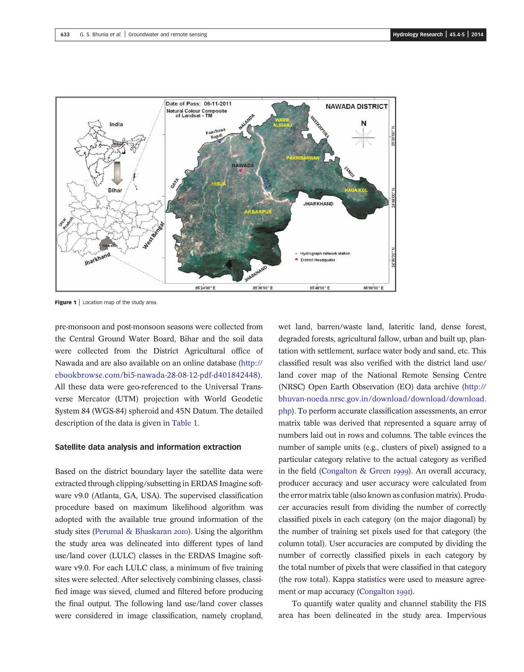



Figure 1 | Location map of the study area.

pre-monsoon and post-monsoon seasons were collected from the Central Ground Water Board, Bihar and the soil data were collected from the District Agricultural office of Nawada and are also available on an online database (http:// ebookbrowse.com/bi5-nawada-28-08-12-pdf-d401842448). All these data were geo-referenced to the Universal Transverse Mercator (UTM) projection with World Geodetic System 84 (WGS-84) spheroid and 45N Datum. The detailed description of the data is given in Table 1.

#### Satellite data analysis and information extraction

Based on the district boundary layer the satellite data were extracted through clipping/subsetting in ERDAS Imagine software v9.0 (Atlanta, GA, USA). The supervised classification procedure based on maximum likelihood algorithm was adopted with the available true ground information of the study sites (Perumal & Bhaskaran 2010). Using the algorithm the study area was delineated into different types of land use/land cover (LULC) classes in the ERDAS Imagine software v9.0. For each LULC class, a minimum of five training sites were selected. After selectively combining classes, classified image was sieved, clumed and filtered before producing the final output. The following land use/land cover classes were considered in image classification, namely cropland,

wet land, barren/waste land, lateritic land, dense forest, degraded forests, agricultural fallow, urban and built up, plantation with settlement, surface water body and sand, etc. This classified result was also verified with the district land use/ land cover map of the National Remote Sensing Centre (NRSC) Open Earth Observation (EO) data archive (http:// bhuvan-noeda.nrsc.gov.in/download/download/download. php). To perform accurate classification assessments, an error matrix table was derived that represented a square array of numbers laid out in rows and columns. The table evinces the number of sample units (e.g., clusters of pixel) assigned to a particular category relative to the actual category as verified in the field (Congalton & Green 1999). An overall accuracy, producer accuracy and user accuracy were calculated from the error matrix table (also known as confusion matrix). Producer accuracies result from dividing the number of correctly classified pixels in each category (on the major diagonal) by the number of training set pixels used for that category (the column total). User accuracies are computed by dividing the number of correctly classified pixels in each category by the total number of pixels that were classified in that category (the row total). Kappa statistics were used to measure agreement or map accuracy (Congalton 1991).

To quantify water quality and channel stability the FIS area has been delineated in the study area. Impervious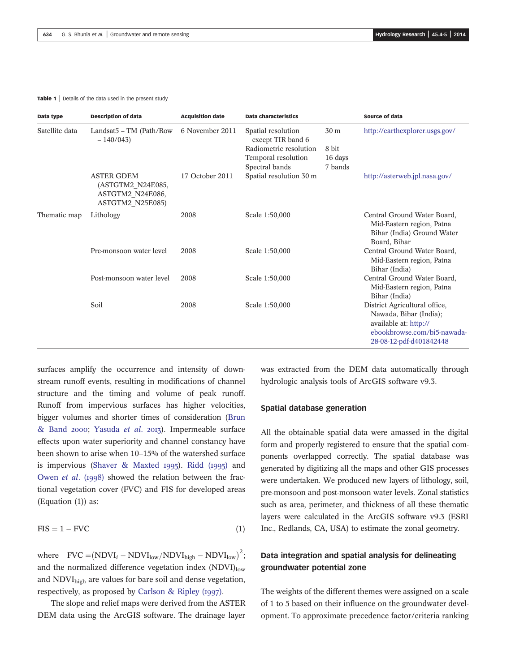#### Table 1 | Details of the data used in the present study

| Data type      | <b>Description of data</b>                                                     | <b>Acquisition date</b> | <b>Data characteristics</b>             |         | Source of data                                                                                                                             |
|----------------|--------------------------------------------------------------------------------|-------------------------|-----------------------------------------|---------|--------------------------------------------------------------------------------------------------------------------------------------------|
| Satellite data | Landsat5 - TM (Path/Row<br>$-140/043$                                          | 6 November 2011         | Spatial resolution<br>except TIR band 6 | 30 m    | http://earthexplorer.usgs.gov/                                                                                                             |
|                |                                                                                |                         | Radiometric resolution                  | 8 bit   |                                                                                                                                            |
|                |                                                                                |                         | Temporal resolution                     | 16 days |                                                                                                                                            |
|                |                                                                                |                         | Spectral bands                          | 7 bands |                                                                                                                                            |
|                | <b>ASTER GDEM</b><br>(ASTGTM2_N24E085,<br>ASTGTM2 N24E086,<br>ASTGTM2_N25E085) | 17 October 2011         | Spatial resolution 30 m                 |         | http://asterweb.jpl.nasa.gov/                                                                                                              |
| Thematic map   | Lithology                                                                      | 2008                    | Scale 1:50,000                          |         | Central Ground Water Board,<br>Mid-Eastern region, Patna<br>Bihar (India) Ground Water<br>Board, Bihar                                     |
|                | Pre-monsoon water level                                                        | 2008                    | Scale 1:50,000                          |         | Central Ground Water Board,<br>Mid-Eastern region, Patna<br>Bihar (India)                                                                  |
|                | Post-monsoon water level                                                       | 2008                    | Scale 1:50,000                          |         | Central Ground Water Board,<br>Mid-Eastern region, Patna<br>Bihar (India)                                                                  |
|                | Soil                                                                           | 2008                    | Scale 1:50,000                          |         | District Agricultural office,<br>Nawada, Bihar (India);<br>available at: http://<br>ebookbrowse.com/bi5-nawada-<br>28-08-12-pdf-d401842448 |

surfaces amplify the occurrence and intensity of downstream runoff events, resulting in modifications of channel structure and the timing and volume of peak runoff. Runoff from impervious surfaces has higher velocities, bigger volumes and shorter times of consideration (Brun & Band 2000; Yasuda *et al.* 2013). Impermeable surface effects upon water superiority and channel constancy have been shown to arise when 10–15% of the watershed surface is impervious (Shaver & Maxted 1995). Ridd  $(1995)$  and Owen *et al.* (1998) showed the relation between the fractional vegetation cover (FVC) and FIS for developed areas (Equation (1)) as:

$$
FIS = 1 - FVC \tag{1}
$$

where  $FVC = (NDVI_i - NDVI_{low}/NDVI_{high} - NDVI_{low})^2;$ and the normalized difference vegetation index  $(NDVI)_{low}$ and NDVIhigh are values for bare soil and dense vegetation, respectively, as proposed by Carlson & Ripley (1997).

The slope and relief maps were derived from the ASTER DEM data using the ArcGIS software. The drainage layer was extracted from the DEM data automatically through hydrologic analysis tools of ArcGIS software v9.3.

### Spatial database generation

All the obtainable spatial data were amassed in the digital form and properly registered to ensure that the spatial components overlapped correctly. The spatial database was generated by digitizing all the maps and other GIS processes were undertaken. We produced new layers of lithology, soil, pre-monsoon and post-monsoon water levels. Zonal statistics such as area, perimeter, and thickness of all these thematic layers were calculated in the ArcGIS software v9.3 (ESRI Inc., Redlands, CA, USA) to estimate the zonal geometry.

# Data integration and spatial analysis for delineating groundwater potential zone

The weights of the different themes were assigned on a scale of 1 to 5 based on their influence on the groundwater development. To approximate precedence factor/criteria ranking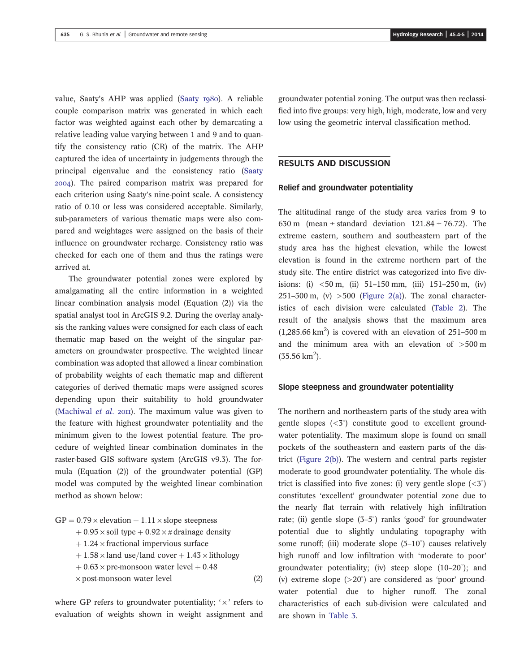value, Saaty's AHP was applied (Saaty 1980). A reliable couple comparison matrix was generated in which each factor was weighted against each other by demarcating a relative leading value varying between 1 and 9 and to quantify the consistency ratio (CR) of the matrix. The AHP captured the idea of uncertainty in judgements through the principal eigenvalue and the consistency ratio (Saaty ). The paired comparison matrix was prepared for each criterion using Saaty's nine-point scale. A consistency ratio of 0.10 or less was considered acceptable. Similarly, sub-parameters of various thematic maps were also compared and weightages were assigned on the basis of their influence on groundwater recharge. Consistency ratio was checked for each one of them and thus the ratings were arrived at.

The groundwater potential zones were explored by amalgamating all the entire information in a weighted linear combination analysis model (Equation (2)) via the spatial analyst tool in ArcGIS 9.2. During the overlay analysis the ranking values were consigned for each class of each thematic map based on the weight of the singular parameters on groundwater prospective. The weighted linear combination was adopted that allowed a linear combination of probability weights of each thematic map and different categories of derived thematic maps were assigned scores depending upon their suitability to hold groundwater (Machiwal *et al.* 2011). The maximum value was given to the feature with highest groundwater potentiality and the minimum given to the lowest potential feature. The procedure of weighted linear combination dominates in the raster-based GIS software system (ArcGIS v9.3). The formula (Equation (2)) of the groundwater potential (GP) model was computed by the weighted linear combination method as shown below:

 $GP = 0.79 \times$  elevation + 1.11  $\times$  slope steepness  $+0.95 \times$  soil type  $+0.92 \times x$  drainage density  $+1.24 \times$  fractional impervious surface  $+1.58 \times$  land use/land cover  $+1.43 \times$  lithology  $+0.63 \times$  pre-monsoon water level  $+0.48$  $\times$  post-monsoon water level (2)

where GP refers to groundwater potentiality;  $\forall x$  refers to evaluation of weights shown in weight assignment and groundwater potential zoning. The output was then reclassified into five groups: very high, high, moderate, low and very low using the geometric interval classification method.

### RESULTS AND DISCUSSION

### Relief and groundwater potentiality

The altitudinal range of the study area varies from 9 to 630 m (mean  $\pm$  standard deviation 121.84  $\pm$  76.72). The extreme eastern, southern and southeastern part of the study area has the highest elevation, while the lowest elevation is found in the extreme northern part of the study site. The entire district was categorized into five divisions: (i)  $\lt 50$  m, (ii)  $51-150$  mm, (iii)  $151-250$  m, (iv) 251–500 m, (v)  $>500$  (Figure 2(a)). The zonal characteristics of each division were calculated (Table 2). The result of the analysis shows that the maximum area  $(1,285.66 \text{ km}^2)$  is covered with an elevation of 251-500 m and the minimum area with an elevation of >500 m  $(35.56 \text{ km}^2).$ 

#### Slope steepness and groundwater potentiality

The northern and northeastern parts of the study area with gentle slopes  $( $5^{\circ}$ )$  constitute good to excellent groundwater potentiality. The maximum slope is found on small pockets of the southeastern and eastern parts of the district (Figure 2(b)). The western and central parts register moderate to good groundwater potentiality. The whole district is classified into five zones: (i) very gentle slope  $(*3*°)$ constitutes 'excellent' groundwater potential zone due to the nearly flat terrain with relatively high infiltration rate; (ii) gentle slope (3-5°) ranks 'good' for groundwater potential due to slightly undulating topography with some runoff; (iii) moderate slope  $(5-10^{\circ})$  causes relatively high runoff and low infiltration with 'moderate to poor' groundwater potentiality; (iv) steep slope  $(10-20^{\circ})$ ; and (v) extreme slope  $(>20^{\circ})$  are considered as 'poor' groundwater potential due to higher runoff. The zonal characteristics of each sub-division were calculated and are shown in Table 3.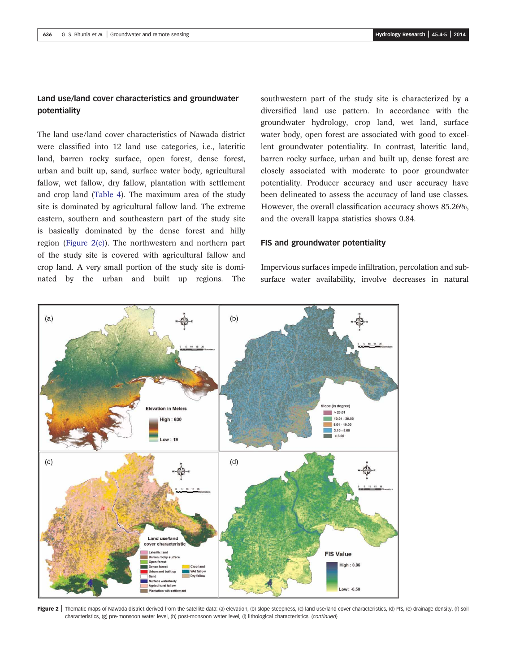# Land use/land cover characteristics and groundwater potentiality

The land use/land cover characteristics of Nawada district were classified into 12 land use categories, i.e., lateritic land, barren rocky surface, open forest, dense forest, urban and built up, sand, surface water body, agricultural fallow, wet fallow, dry fallow, plantation with settlement and crop land (Table 4). The maximum area of the study site is dominated by agricultural fallow land. The extreme eastern, southern and southeastern part of the study site is basically dominated by the dense forest and hilly region (Figure 2(c)). The northwestern and northern part of the study site is covered with agricultural fallow and crop land. A very small portion of the study site is dominated by the urban and built up regions. The

southwestern part of the study site is characterized by a diversified land use pattern. In accordance with the groundwater hydrology, crop land, wet land, surface water body, open forest are associated with good to excellent groundwater potentiality. In contrast, lateritic land, barren rocky surface, urban and built up, dense forest are closely associated with moderate to poor groundwater potentiality. Producer accuracy and user accuracy have been delineated to assess the accuracy of land use classes. However, the overall classification accuracy shows 85.26%, and the overall kappa statistics shows 0.84.

### FIS and groundwater potentiality

Impervious surfaces impede infiltration, percolation and subsurface water availability, involve decreases in natural



Figure 2 | Thematic maps of Nawada district derived from the satellite data: (a) elevation, (b) slope steepness, (c) land use/land cover characteristics, (d) FIS, (e) drainage density, (f) soil characteristics, (g) pre-monsoon water level, (h) post-monsoon water level, (i) lithological characteristics. (continued)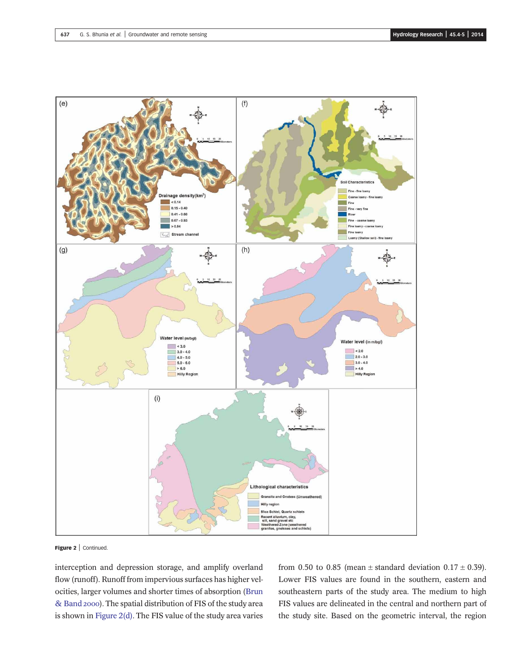

Figure 2 | Continued.

interception and depression storage, and amplify overland flow (runoff). Runoff from impervious surfaces has higher velocities, larger volumes and shorter times of absorption (Brun & Band 2000). The spatial distribution of FIS of the study area is shown in Figure 2(d). The FIS value of the study area varies from 0.50 to 0.85 (mean  $\pm$  standard deviation 0.17  $\pm$  0.39). Lower FIS values are found in the southern, eastern and southeastern parts of the study area. The medium to high FIS values are delineated in the central and northern part of the study site. Based on the geometric interval, the region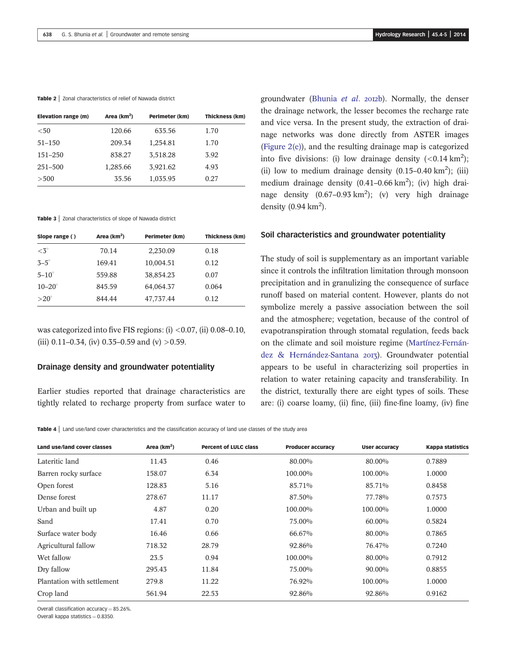#### Table 2 | Zonal characteristics of relief of Nawada district

| Elevation range (m) | Area $(km2)$ | Perimeter (km) | Thickness (km) |
|---------------------|--------------|----------------|----------------|
| < 50                | 120.66       | 635.56         | 1.70           |
| $51 - 150$          | 209.34       | 1,254.81       | 1.70           |
| $151 - 250$         | 838.27       | 3,518.28       | 3.92           |
| 251-500             | 1,285.66     | 3,921.62       | 4.93           |
| > 500               | 35.56        | 1,035.95       | 0.27           |
|                     |              |                |                |

Table 3 | Zonal characteristics of slope of Nawada district

| Slope range $($ ) | Area $(km2)$ | Perimeter (km) | Thickness (km) |
|-------------------|--------------|----------------|----------------|
| $\langle 3^\circ$ | 70.14        | 2,230.09       | 0.18           |
| $3-5^\circ$       | 169.41       | 10,004.51      | 0.12           |
| $5-10^\circ$      | 559.88       | 38,854.23      | 0.07           |
| $10 - 20^\circ$   | 845.59       | 64,064.37      | 0.064          |
| $>20^\circ$       | 844.44       | 47,737.44      | 0.12           |

was categorized into five FIS regions: (i) <0.07, (ii) 0.08–0.10, (iii) 0.11–0.34, (iv) 0.35–0.59 and (v)  $>0.59$ .

#### Drainage density and groundwater potentiality

Earlier studies reported that drainage characteristics are tightly related to recharge property from surface water to groundwater (Bhunia *et al.* 2012b). Normally, the denser the drainage network, the lesser becomes the recharge rate and vice versa. In the present study, the extraction of drainage networks was done directly from ASTER images (Figure 2(e)), and the resulting drainage map is categorized into five divisions: (i) low drainage density  $( $0.14 \text{ km}^2$ )$ ; (ii) low to medium drainage density  $(0.15-0.40 \text{ km}^2)$ ; (iii) medium drainage density  $(0.41-0.66 \text{ km}^2)$ ; (iv) high drainage density  $(0.67-0.93 \text{ km}^2)$ ; (v) very high drainage density  $(0.94 \text{ km}^2)$ .

#### Soil characteristics and groundwater potentiality

The study of soil is supplementary as an important variable since it controls the infiltration limitation through monsoon precipitation and in granulizing the consequence of surface runoff based on material content. However, plants do not symbolize merely a passive association between the soil and the atmosphere; vegetation, because of the control of evapotranspiration through stomatal regulation, feeds back on the climate and soil moisture regime (Martínez-Fernández & Hernández-Santana 2013). Groundwater potential appears to be useful in characterizing soil properties in relation to water retaining capacity and transferability. In the district, texturally there are eight types of soils. These are: (i) coarse loamy, (ii) fine, (iii) fine-fine loamy, (iv) fine

Table 4 | Land use/land cover characteristics and the classification accuracy of land use classes of the study area

| Land use/land cover classes | Area $(km2)$ | <b>Percent of LULC class</b> | <b>Producer accuracy</b> | <b>User accuracy</b> | <b>Kappa statistics</b> |
|-----------------------------|--------------|------------------------------|--------------------------|----------------------|-------------------------|
| Lateritic land              | 11.43        | 0.46                         | 80.00%                   | 80.00%               | 0.7889                  |
| Barren rocky surface        | 158.07       | 6.34                         | 100.00%                  | 100.00%              | 1.0000                  |
| Open forest                 | 128.83       | 5.16                         | 85.71%                   | 85.71%               | 0.8458                  |
| Dense forest                | 278.67       | 11.17                        | 87.50%                   | 77.78%               | 0.7573                  |
| Urban and built up          | 4.87         | 0.20                         | 100.00%                  | 100.00%              | 1.0000                  |
| Sand                        | 17.41        | 0.70                         | 75.00%                   | 60.00%               | 0.5824                  |
| Surface water body          | 16.46        | 0.66                         | 66.67%                   | 80.00%               | 0.7865                  |
| Agricultural fallow         | 718.32       | 28.79                        | 92.86%                   | 76.47%               | 0.7240                  |
| Wet fallow                  | 23.5         | 0.94                         | $100.00\%$               | 80.00%               | 0.7912                  |
| Dry fallow                  | 295.43       | 11.84                        | 75.00%                   | 90.00%               | 0.8855                  |
| Plantation with settlement  | 279.8        | 11.22                        | 76.92%                   | 100.00%              | 1.0000                  |
| Crop land                   | 561.94       | 22.53                        | 92.86%                   | 92.86%               | 0.9162                  |

Overall classification accuracy =  $85.26\%$ .

Overall kappa statistics  $= 0.8350$ .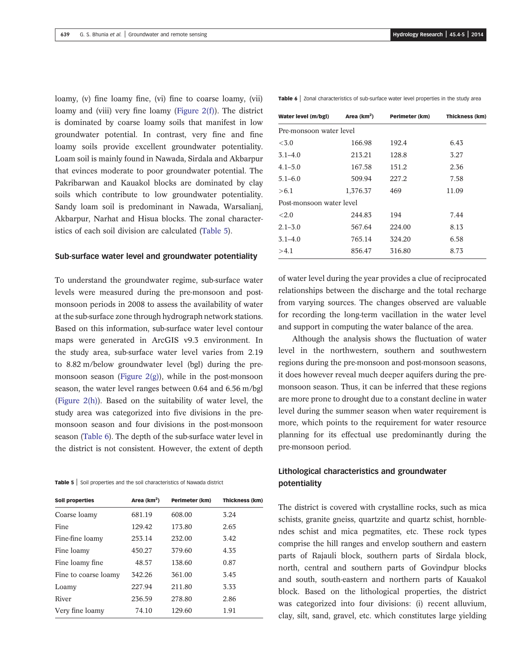loamy, (v) fine loamy fine, (vi) fine to coarse loamy, (vii) loamy and (viii) very fine loamy (Figure 2(f)). The district is dominated by coarse loamy soils that manifest in low groundwater potential. In contrast, very fine and fine loamy soils provide excellent groundwater potentiality. Loam soil is mainly found in Nawada, Sirdala and Akbarpur that evinces moderate to poor groundwater potential. The Pakribarwan and Kauakol blocks are dominated by clay soils which contribute to low groundwater potentiality. Sandy loam soil is predominant in Nawada, Warsalianj, Akbarpur, Narhat and Hisua blocks. The zonal characteristics of each soil division are calculated (Table 5).

### Sub-surface water level and groundwater potentiality

To understand the groundwater regime, sub-surface water levels were measured during the pre-monsoon and postmonsoon periods in 2008 to assess the availability of water at the sub-surface zone through hydrograph network stations. Based on this information, sub-surface water level contour maps were generated in ArcGIS v9.3 environment. In the study area, sub-surface water level varies from 2.19 to 8.82 m/below groundwater level (bgl) during the premonsoon season (Figure  $2(g)$ ), while in the post-monsoon season, the water level ranges between 0.64 and 6.56 m/bgl (Figure 2(h)). Based on the suitability of water level, the study area was categorized into five divisions in the premonsoon season and four divisions in the post-monsoon season (Table 6). The depth of the sub-surface water level in the district is not consistent. However, the extent of depth

Table 5 | Soil properties and the soil characteristics of Nawada district

| <b>Soil properties</b> | Area $(km^2)$ | Perimeter (km) | <b>Thickness (km)</b> |
|------------------------|---------------|----------------|-----------------------|
| Coarse loamy           | 681.19        | 608.00         | 3.24                  |
| Fine                   | 129.42        | 173.80         | 2.65                  |
| Fine-fine loamy        | 253.14        | 232.00         | 3.42                  |
| Fine loamy             | 450.27        | 379.60         | 4.35                  |
| Fine loamy fine        | 48.57         | 138.60         | 0.87                  |
| Fine to coarse loamy   | 342.26        | 361.00         | 3.45                  |
| Loamy                  | 227.94        | 211.80         | 3.33                  |
| River                  | 236.59        | 278.80         | 2.86                  |
| Very fine loamy        | 74.10         | 129.60         | 1.91                  |

Table 6 | Zonal characteristics of sub-surface water level properties in the study area

| Water level (m/bgl)      | Area (km <sup>2</sup> ) | Perimeter (km) | Thickness (km) |  |  |  |  |  |
|--------------------------|-------------------------|----------------|----------------|--|--|--|--|--|
| Pre-monsoon water level  |                         |                |                |  |  |  |  |  |
| < 3.0                    | 166.98                  | 192.4          | 6.43           |  |  |  |  |  |
| $3.1 - 4.0$              | 213.21                  | 128.8          | 3.27           |  |  |  |  |  |
| $4.1 - 5.0$              | 167.58                  | 151.2          | 2.36           |  |  |  |  |  |
| $5.1 - 6.0$              | 509.94                  | 227.2          | 7.58           |  |  |  |  |  |
| >6.1                     | 1,376.37                | 469            | 11.09          |  |  |  |  |  |
| Post-monsoon water level |                         |                |                |  |  |  |  |  |
| <2.0                     | 244.83                  | 194            | 7.44           |  |  |  |  |  |
| $2.1 - 3.0$              | 567.64                  | 224.00         | 8.13           |  |  |  |  |  |
| $3.1 - 4.0$              | 765.14                  | 324.20         | 6.58           |  |  |  |  |  |
| >4.1                     | 856.47                  | 316.80         | 8.73           |  |  |  |  |  |

of water level during the year provides a clue of reciprocated relationships between the discharge and the total recharge from varying sources. The changes observed are valuable for recording the long-term vacillation in the water level and support in computing the water balance of the area.

Although the analysis shows the fluctuation of water level in the northwestern, southern and southwestern regions during the pre-monsoon and post-monsoon seasons, it does however reveal much deeper aquifers during the premonsoon season. Thus, it can be inferred that these regions are more prone to drought due to a constant decline in water level during the summer season when water requirement is more, which points to the requirement for water resource planning for its effectual use predominantly during the pre-monsoon period.

# Lithological characteristics and groundwater potentiality

The district is covered with crystalline rocks, such as mica schists, granite gneiss, quartzite and quartz schist, hornblendes schist and mica pegmatites, etc. These rock types comprise the hill ranges and envelop southern and eastern parts of Rajauli block, southern parts of Sirdala block, north, central and southern parts of Govindpur blocks and south, south-eastern and northern parts of Kauakol block. Based on the lithological properties, the district was categorized into four divisions: (i) recent alluvium, clay, silt, sand, gravel, etc. which constitutes large yielding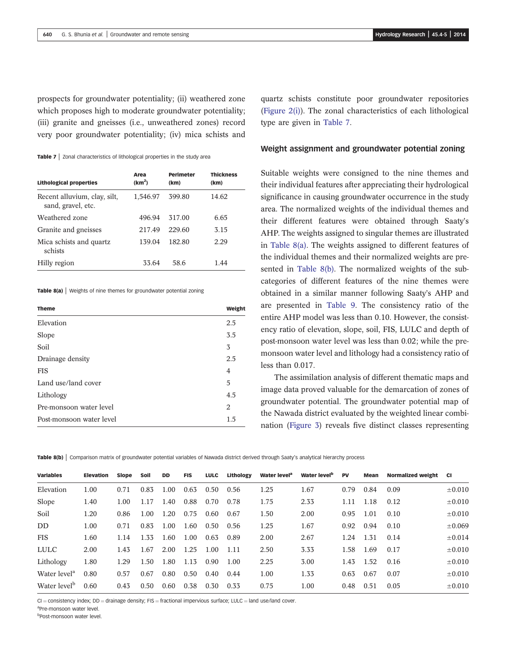prospects for groundwater potentiality; (ii) weathered zone which proposes high to moderate groundwater potentiality; (iii) granite and gneisses (i.e., unweathered zones) record very poor groundwater potentiality; (iv) mica schists and

Table 7 | Zonal characteristics of lithological properties in the study area

| <b>Lithological properties</b>                     | Area<br>(km <sup>2</sup> ) | <b>Perimeter</b><br>(km) | <b>Thickness</b><br>(km) |
|----------------------------------------------------|----------------------------|--------------------------|--------------------------|
| Recent alluvium, clay, silt,<br>sand, gravel, etc. | 1,546.97                   | 399.80                   | 14.62                    |
| Weathered zone                                     | 496.94                     | 317.00                   | 6.65                     |
| Granite and gneisses                               | 217.49                     | 229.60                   | 3.15                     |
| Mica schists and quartz.<br>schists                | 139.04                     | 182.80                   | 2.29                     |
| Hilly region                                       | 33.64                      | 58.6                     | 1 44                     |

Table 8(a) | Weights of nine themes for groundwater potential zoning

| <b>Theme</b>             | Weight |
|--------------------------|--------|
| Elevation                | 2.5    |
| Slope                    | 3.5    |
| Soil                     | 3      |
| Drainage density         | 2.5    |
| <b>FIS</b>               | 4      |
| Land use/land cover      | 5      |
| Lithology                | 4.5    |
| Pre-monsoon water level  | 2      |
| Post-monsoon water level | 1.5    |
|                          |        |

quartz schists constitute poor groundwater repositories (Figure 2(i)). The zonal characteristics of each lithological type are given in Table 7.

#### Weight assignment and groundwater potential zoning

Suitable weights were consigned to the nine themes and their individual features after appreciating their hydrological significance in causing groundwater occurrence in the study area. The normalized weights of the individual themes and their different features were obtained through Saaty's AHP. The weights assigned to singular themes are illustrated in Table 8(a). The weights assigned to different features of the individual themes and their normalized weights are presented in Table 8(b). The normalized weights of the subcategories of different features of the nine themes were obtained in a similar manner following Saaty's AHP and are presented in Table 9. The consistency ratio of the entire AHP model was less than 0.10. However, the consistency ratio of elevation, slope, soil, FIS, LULC and depth of post-monsoon water level was less than 0.02; while the premonsoon water level and lithology had a consistency ratio of less than 0.017.

The assimilation analysis of different thematic maps and image data proved valuable for the demarcation of zones of groundwater potential. The groundwater potential map of the Nawada district evaluated by the weighted linear combination (Figure 3) reveals five distinct classes representing

Table 8(b) | Comparison matrix of groundwater potential variables of Nawada district derived through Saaty's analytical hierarchy process

| <b>Variables</b>         | <b>Elevation</b> | Slope | Soil | <b>DD</b> | <b>FIS</b> | <b>LULC</b> | Lithology | Water level <sup>a</sup> | Water level <sup>b</sup> | <b>PV</b> | Mean | <b>Normalized weight</b> | <b>CI</b>   |
|--------------------------|------------------|-------|------|-----------|------------|-------------|-----------|--------------------------|--------------------------|-----------|------|--------------------------|-------------|
| Elevation                | 1.00             | 0.71  | 0.83 | 1.00      | 0.63       | 0.50        | 0.56      | 1.25                     | 1.67                     | 0.79      | 0.84 | 0.09                     | $\pm 0.010$ |
| Slope                    | 1.40             | 1.00  | 1.17 | 1.40      | 0.88       | 0.70        | 0.78      | 1.75                     | 2.33                     | 1.11      | 1.18 | 0.12                     | $\pm 0.010$ |
| Soil                     | 1.20             | 0.86  | 1.00 | 1.20      | 0.75       | 0.60        | 0.67      | 1.50                     | 2.00                     | 0.95      | 1.01 | 0.10                     | $\pm 0.010$ |
| D <sub>D</sub>           | 1.00             | 0.71  | 0.83 | 1.00      | 1.60       | 0.50        | 0.56      | 1.25                     | 1.67                     | 0.92      | 0.94 | 0.10                     | $\pm 0.069$ |
| <b>FIS</b>               | 1.60             | 1.14  | 1.33 | 1.60      | 1.00       | 0.63        | 0.89      | 2.00                     | 2.67                     | 1.24      | 1.31 | 0.14                     | $\pm 0.014$ |
| LULC                     | 2.00             | 1.43  | 1.67 | 2.00      | 1.25       | 1.00        | 1.11      | 2.50                     | 3.33                     | 1.58      | 1.69 | 0.17                     | $\pm 0.010$ |
| Lithology                | 1.80             | 1.29  | 1.50 | 1.80      | 1.13       | 0.90        | 1.00      | 2.25                     | 3.00                     | 1.43      | 1.52 | 0.16                     | $\pm 0.010$ |
| Water level <sup>a</sup> | 0.80             | 0.57  | 0.67 | 0.80      | 0.50       | 0.40        | 0.44      | 1.00                     | 1.33                     | 0.63      | 0.67 | 0.07                     | $\pm 0.010$ |
| Water level <sup>b</sup> | 0.60             | 0.43  | 0.50 | 0.60      | 0.38       | 0.30        | 0.33      | 0.75                     | 1.00                     | 0.48      | 0.51 | 0.05                     | $\pm 0.010$ |
|                          |                  |       |      |           |            |             |           |                          |                          |           |      |                          |             |

 $CI = \text{consistency}$  index;  $DD = \text{drainage density}$ ; FIS = fractional impervious surface; LULC = land use/land cover.

a Pre-monsoon water level.

b Post-monsoon water level.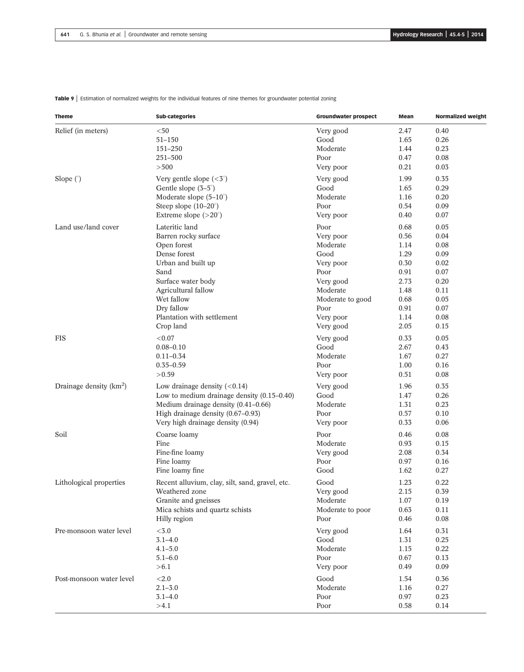| <b>Theme</b>             | <b>Sub-categories</b>                           | <b>Groundwater prospect</b> | Mean         | <b>Normalized weight</b> |
|--------------------------|-------------------------------------------------|-----------------------------|--------------|--------------------------|
| Relief (in meters)       | $50$                                            | Very good                   | 2.47         | 0.40                     |
|                          | $51 - 150$                                      | Good                        | 1.65         | 0.26                     |
|                          | 151-250                                         | Moderate                    | 1.44         | 0.23                     |
|                          | 251-500                                         | Poor                        | 0.47         | 0.08                     |
|                          | > 500                                           | Very poor                   | 0.21         | 0.03                     |
| Slope $($ °)             | Very gentle slope $(5^{\circ})$                 | Very good                   | 1.99         | 0.35                     |
|                          | Gentle slope $(3-5^\circ)$                      | Good                        | 1.65         | 0.29                     |
|                          | Moderate slope $(5-10^{\circ})$                 | Moderate                    | 1.16         | 0.20                     |
|                          | Steep slope $(10-20^\circ)$                     | Poor                        | 0.54         | 0.09                     |
|                          | Extreme slope $(>20^\circ)$                     | Very poor                   | 0.40         | 0.07                     |
| Land use/land cover      | Lateritic land                                  | Poor                        | 0.68         | 0.05                     |
|                          | Barren rocky surface                            | Very poor                   | 0.56         | 0.04                     |
|                          | Open forest                                     | Moderate                    | 1.14         | 0.08                     |
|                          | Dense forest                                    | Good                        | 1.29         | 0.09                     |
|                          | Urban and built up                              | Very poor                   | 0.30         | 0.02                     |
|                          | Sand                                            | Poor                        | 0.91         | 0.07                     |
|                          | Surface water body                              | Very good                   | 2.73         | 0.20                     |
|                          | Agricultural fallow                             | Moderate                    | 1.48         | 0.11                     |
|                          | Wet fallow                                      | Moderate to good            | 0.68         | 0.05                     |
|                          | Dry fallow                                      | Poor                        | 0.91         | 0.07                     |
|                          |                                                 |                             |              |                          |
|                          | Plantation with settlement<br>Crop land         | Very poor<br>Very good      | 1.14<br>2.05 | 0.08<br>0.15             |
| <b>FIS</b>               | < 0.07                                          |                             |              | 0.05                     |
|                          |                                                 | Very good<br>Good           | 0.33         |                          |
|                          | $0.08 - 0.10$                                   |                             | 2.67         | 0.43                     |
|                          | $0.11 - 0.34$                                   | Moderate                    | 1.67         | 0.27                     |
|                          | $0.35 - 0.59$                                   | Poor                        | 1.00         | 0.16                     |
|                          | >0.59                                           | Very poor                   | 0.51         | 0.08                     |
| Drainage density $(km2)$ | Low drainage density $(<0.14)$                  | Very good                   | 1.96         | 0.35                     |
|                          | Low to medium drainage density $(0.15-0.40)$    | Good                        | 1.47         | 0.26                     |
|                          | Medium drainage density (0.41-0.66)             | Moderate                    | 1.31         | 0.23                     |
|                          | High drainage density (0.67-0.93)               | Poor                        | 0.57         | 0.10                     |
|                          | Very high drainage density (0.94)               | Very poor                   | 0.33         | 0.06                     |
| Soil                     | Coarse loamy                                    | Poor                        | 0.46         | 0.08                     |
|                          | Fine                                            | Moderate                    | 0.93         | 0.15                     |
|                          | Fine-fine loamy                                 | Very good                   | 2.08         | 0.34                     |
|                          | Fine loamy                                      | Poor                        | 0.97         | 0.16                     |
|                          | Fine loamy fine                                 | Good                        | 1.62         | 0.27                     |
| Lithological properties  | Recent alluvium, clay, silt, sand, gravel, etc. | Good                        | 1.23         | 0.22                     |
|                          | Weathered zone                                  | Very good                   | 2.15         | 0.39                     |
|                          | Granite and gneisses                            | Moderate                    | 1.07         | 0.19                     |
|                          | Mica schists and quartz schists                 | Moderate to poor            | 0.63         | 0.11                     |
|                          | Hilly region                                    | Poor                        | 0.46         | 0.08                     |
| Pre-monsoon water level  | $<\!\!3.0$                                      | Very good                   | 1.64         | 0.31                     |
|                          | $3.1 - 4.0$                                     | Good                        | 1.31         | 0.25                     |
|                          | $4.1 - 5.0$                                     | Moderate                    | 1.15         | 0.22                     |
|                          | $5.1 - 6.0$                                     | Poor                        | 0.67         | 0.13                     |
|                          | > 6.1                                           | Very poor                   | 0.49         | 0.09                     |
| Post-monsoon water level | $<2.0$                                          | Good                        | 1.54         | 0.36                     |
|                          | $2.1 - 3.0$                                     | Moderate                    | 1.16         | 0.27                     |
|                          |                                                 |                             |              |                          |
|                          | $3.1 - 4.0$                                     | Poor                        | 0.97         | 0.23                     |
|                          | >4.1                                            | Poor                        | 0.58         | 0.14                     |

Table 9 | Estimation of normalized weights for the individual features of nine themes for groundwater potential zoning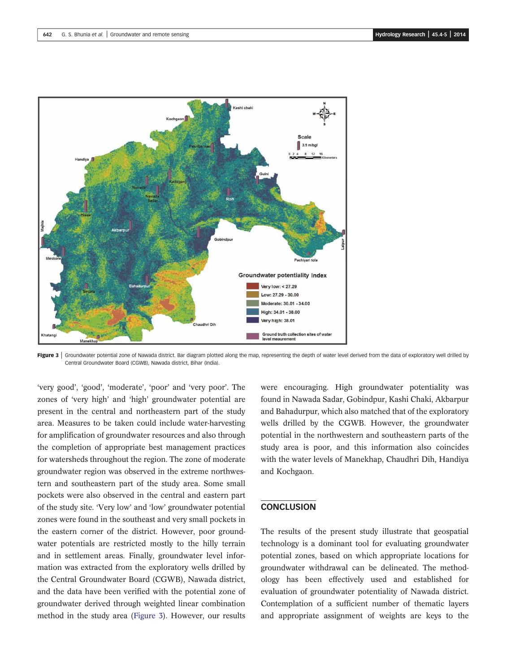

Figure 3 | Groundwater potential zone of Nawada district. Bar diagram plotted along the map, representing the depth of water level derived from the data of exploratory well drilled by Central Groundwater Board (CGWB), Nawada district, Bihar (India).

'very good', 'good', 'moderate', 'poor' and 'very poor'. The zones of 'very high' and 'high' groundwater potential are present in the central and northeastern part of the study area. Measures to be taken could include water-harvesting for amplification of groundwater resources and also through the completion of appropriate best management practices for watersheds throughout the region. The zone of moderate groundwater region was observed in the extreme northwestern and southeastern part of the study area. Some small pockets were also observed in the central and eastern part of the study site. 'Very low' and 'low' groundwater potential zones were found in the southeast and very small pockets in the eastern corner of the district. However, poor groundwater potentials are restricted mostly to the hilly terrain and in settlement areas. Finally, groundwater level information was extracted from the exploratory wells drilled by the Central Groundwater Board (CGWB), Nawada district, and the data have been verified with the potential zone of groundwater derived through weighted linear combination method in the study area (Figure 3). However, our results were encouraging. High groundwater potentiality was found in Nawada Sadar, Gobindpur, Kashi Chaki, Akbarpur and Bahadurpur, which also matched that of the exploratory wells drilled by the CGWB. However, the groundwater potential in the northwestern and southeastern parts of the study area is poor, and this information also coincides with the water levels of Manekhap, Chaudhri Dih, Handiya and Kochgaon.

### **CONCLUSION**

The results of the present study illustrate that geospatial technology is a dominant tool for evaluating groundwater potential zones, based on which appropriate locations for groundwater withdrawal can be delineated. The methodology has been effectively used and established for evaluation of groundwater potentiality of Nawada district. Contemplation of a sufficient number of thematic layers and appropriate assignment of weights are keys to the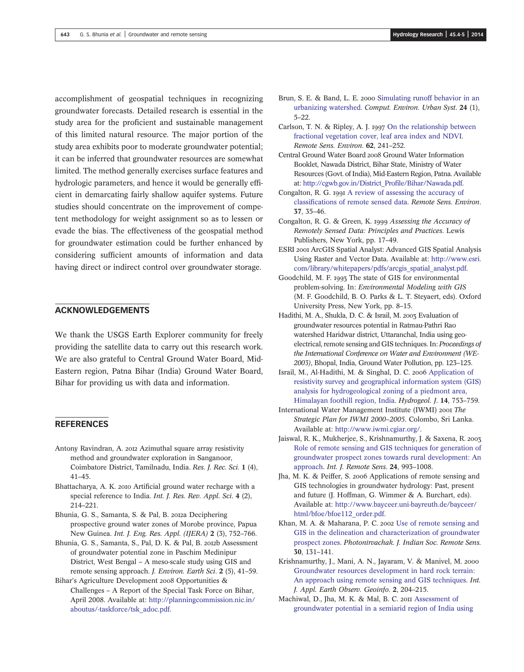accomplishment of geospatial techniques in recognizing groundwater forecasts. Detailed research is essential in the study area for the proficient and sustainable management of this limited natural resource. The major portion of the study area exhibits poor to moderate groundwater potential; it can be inferred that groundwater resources are somewhat limited. The method generally exercises surface features and hydrologic parameters, and hence it would be generally efficient in demarcating fairly shallow aquifer systems. Future studies should concentrate on the improvement of competent methodology for weight assignment so as to lessen or evade the bias. The effectiveness of the geospatial method for groundwater estimation could be further enhanced by considering sufficient amounts of information and data having direct or indirect control over groundwater storage.

## ACKNOWLEDGEMENTS

We thank the USGS Earth Explorer community for freely providing the satellite data to carry out this research work. We are also grateful to Central Ground Water Board, Mid-Eastern region, Patna Bihar (India) Ground Water Board, Bihar for providing us with data and information.

### **REFERENCES**

- Antony Ravindran, A. 2012 Azimuthal square array resistivity method and groundwater exploration in Sanganoor, Coimbatore District, Tamilnadu, India. *Res. J. Rec. Sci.* 1 (4), 41–45.
- Bhattacharya, A. K. 2010 Artificial ground water recharge with a special reference to India. *Int. J. Res. Rev. Appl. Sci*. 4 (2), 214–221.
- Bhunia, G. S., Samanta, S. & Pal, B. 2012a Deciphering prospective ground water zones of Morobe province, Papua New Guinea. *Int. J. Eng. Res. Appl. (IJERA)* 2 (3), 752–766.
- Bhunia, G. S., Samanta, S., Pal, D. K. & Pal, B. 2012b Assessment of groundwater potential zone in Paschim Medinipur District, West Bengal – A meso-scale study using GIS and remote sensing approach. *J. Environ. Earth Sci*. 2 (5), 41–59.
- Bihar's Agriculture Development 2008 Opportunities & Challenges – A Report of the Special Task Force on Bihar, April 2008. Available at: http://planningcommission.nic.in/ aboutus/-taskforce/tsk\_adoc.pdf.
- Brun, S. E. & Band, L. E. 2000 Simulating runoff behavior in an urbanizing watershed. *Comput. Environ. Urban Syst*. 24 (1), 5–22.
- Carlson, T. N. & Ripley, A. J. 1997 On the relationship between fractional vegetation cover, leaf area index and NDVI. *Remote Sens. Environ*. 62, 241–252.
- Central Ground Water Board 2008 Ground Water Information Booklet, Nawada District, Bihar State, Ministry of Water Resources (Govt. of India), Mid-Eastern Region, Patna. Available at: http://cgwb.gov.in/District\_Profile/Bihar/Nawada.pdf.
- Congalton, R. G. 1991 A review of assessing the accuracy of classifications of remote sensed data. *Remote Sens. Environ*. 37, 35–46.
- Congalton, R. G. & Green, K. 1999 Assessing the Accuracy of *Remotely Sensed Data: Principles and Practices*. Lewis Publishers, New York, pp. 17–49.
- ESRI 2001 ArcGIS Spatial Analyst: Advanced GIS Spatial Analysis Using Raster and Vector Data. Available at: http://www.esri. com/library/whitepapers/pdfs/arcgis\_spatial\_analyst.pdf.
- Goodchild, M. F. 1993 The state of GIS for environmental problem-solving. In: *Environmental Modeling with GIS* (M. F. Goodchild, B. O. Parks & L. T. Steyaert, eds). Oxford University Press, New York, pp. 8–15.
- Hadithi, M. A., Shukla, D. C. & Israil, M. 2003 Evaluation of groundwater resources potential in Ratmau-Pathri Rao watershed Haridwar district, Uttaranchal, India using geoelectrical, remote sensing and GIS techniques. In:*Proceedings of the International Conference on Water and Environment (WE-2003)*, Bhopal, India, Ground Water Pollution, pp. 123–125.
- Israil, M., Al-Hadithi, M. & Singhal, D. C. 2006 Application of resistivity survey and geographical information system (GIS) analysis for hydrogeological zoning of a piedmont area, Himalayan foothill region, India. *Hydrogeol. J*. 14, 753–759.
- International Water Management Institute (IWMI) *The Strategic Plan for IWMI 2000*–*2005*. Colombo, Sri Lanka. Available at: http://www.iwmi.cgiar.org/.
- Jaiswal, R. K., Mukherjee, S., Krishnamurthy, J. & Saxena, R. Role of remote sensing and GIS techniques for generation of groundwater prospect zones towards rural development: An approach. *Int. J. Remote Sens*. 24, 993–1008.
- Jha, M. K. & Peiffer, S. 2006 Applications of remote sensing and GIS technologies in groundwater hydrology: Past, present and future (J. Hoffman, G. Wimmer & A. Burchart, eds). Available at: http://www.bayceer.uni-bayreuth.de/bayceer/ html/bfoe/bfoe112\_order.pdf.
- Khan, M. A. & Maharana, P. C. 2002 Use of remote sensing and GIS in the delineation and characterization of groundwater prospect zones. *Photonirvachak. J. Indian Soc. Remote Sens.* 30, 131–141.
- Krishnamurthy, J., Mani, A. N., Jayaram, V. & Manivel, M. Groundwater resources development in hard rock terrain: An approach using remote sensing and GIS techniques. *Int. J. Appl. Earth Observ. Geoinfo*. 2, 204–215.
- Machiwal, D., Jha, M. K. & Mal, B. C. 2011 Assessment of groundwater potential in a semiarid region of India using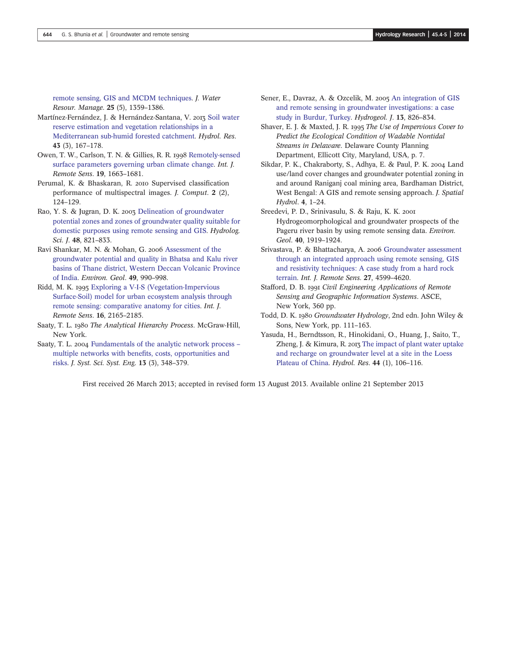remote sensing, GIS and MCDM techniques. *J. Water Resour. Manage*. 25 (5), 1359–1386.

- Martínez-Fernández, J. & Hernández-Santana, V. 2013 Soil water reserve estimation and vegetation relationships in a Mediterranean sub-humid forested catchment. *Hydrol. Res*. 43 (3), 167–178.
- Owen, T. W., Carlson, T. N. & Gillies, R. R. 1998 Remotely-sensed surface parameters governing urban climate change. *Int. J. Remote Sens*. 19, 1663–1681.
- Perumal, K. & Bhaskaran, R. 2010 Supervised classification performance of multispectral images. *J. Comput*. 2 (2), 124–129.
- Rao, Y. S. & Jugran, D. K. 2003 Delineation of groundwater potential zones and zones of groundwater quality suitable for domestic purposes using remote sensing and GIS. *Hydrolog. Sci. J*. 48, 821–833.
- Ravi Shankar, M. N. & Mohan, G. 2006 Assessment of the groundwater potential and quality in Bhatsa and Kalu river basins of Thane district, Western Deccan Volcanic Province of India. *Environ. Geol*. 49, 990–998.
- Ridd, M. K. 1995 Exploring a V-I-S (Vegetation-Impervious Surface-Soil) model for urban ecosystem analysis through remote sensing: comparative anatomy for cities. *Int. J. Remote Sens*. 16, 2165–2185.
- Saaty, T. L. 1980 The Analytical Hierarchy Process. McGraw-Hill, New York.
- Saaty, T. L. 2004 Fundamentals of the analytic network process multiple networks with benefits, costs, opportunities and risks. *J. Syst. Sci. Syst. Eng*. 13 (3), 348–379.
- Sener, E., Davraz, A. & Ozcelik, M. 2005 An integration of GIS and remote sensing in groundwater investigations: a case study in Burdur, Turkey. *Hydrogeol. J*. 13, 826–834.
- Shaver, E. J. & Maxted, J. R. *The Use of Impervious Cover to Predict the Ecological Condition of Wadable Nontidal Streams in Delaware*. Delaware County Planning Department, Ellicott City, Maryland, USA, p. 7.
- Sikdar, P. K., Chakraborty, S., Adhya, E. & Paul, P. K. 2004 Land use/land cover changes and groundwater potential zoning in and around Raniganj coal mining area, Bardhaman District, West Bengal: A GIS and remote sensing approach. *J. Spatial Hydrol*. 4, 1–24.
- Sreedevi, P. D., Srinivasulu, S. & Raju, K. K. Hydrogeomorphological and groundwater prospects of the Pageru river basin by using remote sensing data. *Environ. Geol*. 40, 1919–1924.
- Srivastava, P. & Bhattacharya, A. 2006 Groundwater assessment through an integrated approach using remote sensing, GIS and resistivity techniques: A case study from a hard rock terrain. *Int. J. Remote Sens*. 27, 4599–4620.
- Stafford, D. B. *Civil Engineering Applications of Remote Sensing and Geographic Information Systems*. ASCE, New York, 360 pp.
- Todd, D. K. *Groundwater Hydrology*, 2nd edn. John Wiley & Sons, New York, pp. 111–163.
- Yasuda, H., Berndtsson, R., Hinokidani, O., Huang, J., Saito, T., Zheng, J. & Kimura, R. 2013 The impact of plant water uptake and recharge on groundwater level at a site in the Loess Plateau of China. *Hydrol. Res*. 44 (1), 106–116.

First received 26 March 2013; accepted in revised form 13 August 2013. Available online 21 September 2013